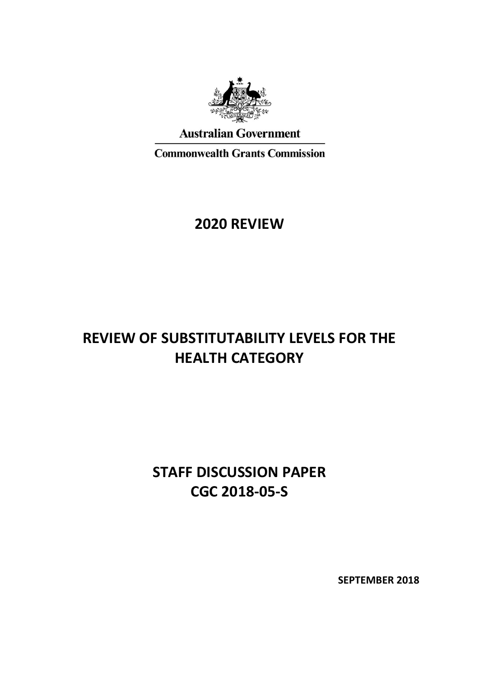

**Australian Government** 

**Commonwealth Grants Commission** 

# **2020 REVIEW**

# **REVIEW OF SUBSTITUTABILITY LEVELS FOR THE HEALTH CATEGORY**

# **STAFF DISCUSSION PAPER CGC 2018-05-S**

**SEPTEMBER 2018**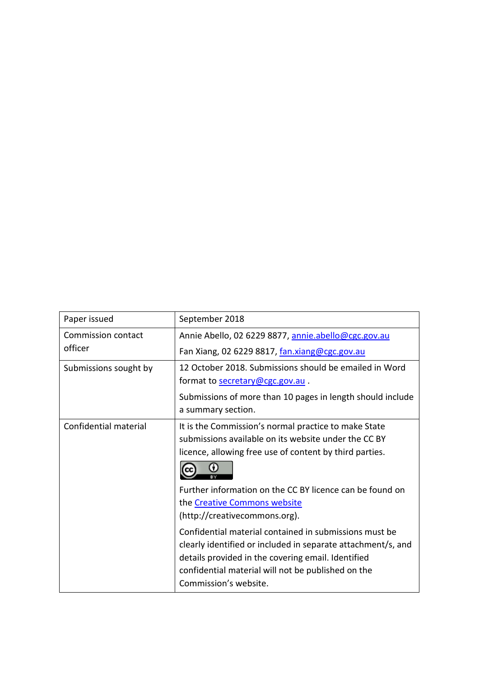| Paper issued          | September 2018                                                                                                                                                                                                                                                                                                                                                                                                                                                                                                                                                      |
|-----------------------|---------------------------------------------------------------------------------------------------------------------------------------------------------------------------------------------------------------------------------------------------------------------------------------------------------------------------------------------------------------------------------------------------------------------------------------------------------------------------------------------------------------------------------------------------------------------|
| Commission contact    | Annie Abello, 02 6229 8877, annie.abello@cgc.gov.au                                                                                                                                                                                                                                                                                                                                                                                                                                                                                                                 |
| officer               | Fan Xiang, 02 6229 8817, fan.xiang@cgc.gov.au                                                                                                                                                                                                                                                                                                                                                                                                                                                                                                                       |
| Submissions sought by | 12 October 2018. Submissions should be emailed in Word                                                                                                                                                                                                                                                                                                                                                                                                                                                                                                              |
|                       | format to secretary@cgc.gov.au.                                                                                                                                                                                                                                                                                                                                                                                                                                                                                                                                     |
|                       | Submissions of more than 10 pages in length should include<br>a summary section.                                                                                                                                                                                                                                                                                                                                                                                                                                                                                    |
| Confidential material | It is the Commission's normal practice to make State<br>submissions available on its website under the CC BY<br>licence, allowing free use of content by third parties.<br>Further information on the CC BY licence can be found on<br>the Creative Commons website<br>(http://creativecommons.org).<br>Confidential material contained in submissions must be<br>clearly identified or included in separate attachment/s, and<br>details provided in the covering email. Identified<br>confidential material will not be published on the<br>Commission's website. |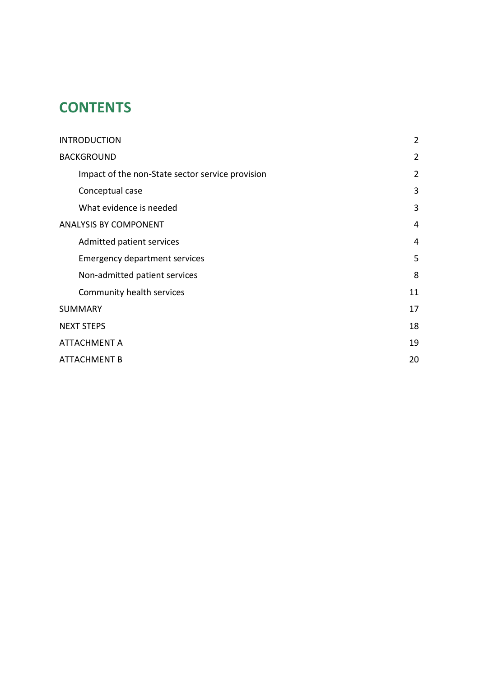# **CONTENTS**

| <b>INTRODUCTION</b>                              | $\overline{2}$ |
|--------------------------------------------------|----------------|
| <b>BACKGROUND</b>                                | $\overline{2}$ |
| Impact of the non-State sector service provision | $\overline{2}$ |
| Conceptual case                                  | 3              |
| What evidence is needed                          | 3              |
| <b>ANALYSIS BY COMPONENT</b>                     | 4              |
| Admitted patient services                        | 4              |
| <b>Emergency department services</b>             | 5              |
| Non-admitted patient services                    | 8              |
| Community health services                        | 11             |
| <b>SUMMARY</b>                                   | 17             |
| <b>NEXT STEPS</b>                                | 18             |
| <b>ATTACHMENT A</b>                              | 19             |
| <b>ATTACHMENT B</b>                              | 20             |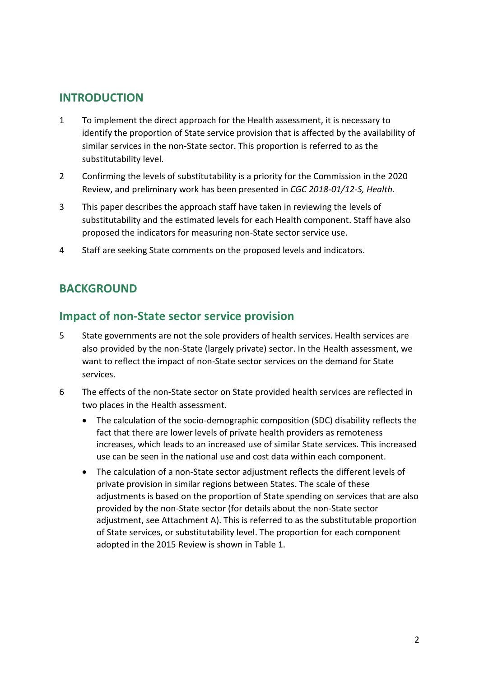### <span id="page-3-0"></span>**INTRODUCTION**

- 1 To implement the direct approach for the Health assessment, it is necessary to identify the proportion of State service provision that is affected by the availability of similar services in the non-State sector. This proportion is referred to as the substitutability level.
- 2 Confirming the levels of substitutability is a priority for the Commission in the 2020 Review, and preliminary work has been presented in *CGC 2018-01/12-S, Health*.
- 3 This paper describes the approach staff have taken in reviewing the levels of substitutability and the estimated levels for each Health component. Staff have also proposed the indicators for measuring non-State sector service use.
- <span id="page-3-1"></span>4 Staff are seeking State comments on the proposed levels and indicators.

## **BACKGROUND**

#### <span id="page-3-2"></span>**Impact of non-State sector service provision**

- 5 State governments are not the sole providers of health services. Health services are also provided by the non-State (largely private) sector. In the Health assessment, we want to reflect the impact of non-State sector services on the demand for State services.
- 6 The effects of the non-State sector on State provided health services are reflected in two places in the Health assessment.
	- The calculation of the socio-demographic composition (SDC) disability reflects the fact that there are lower levels of private health providers as remoteness increases, which leads to an increased use of similar State services. This increased use can be seen in the national use and cost data within each component.
	- The calculation of a non-State sector adjustment reflects the different levels of private provision in similar regions between States. The scale of these adjustments is based on the proportion of State spending on services that are also provided by the non-State sector (for details about the non-State sector adjustment, see Attachment A). This is referred to as the substitutable proportion of State services, or substitutability level. The proportion for each component adopted in the 2015 Review is shown in [Table 1.](#page-4-2)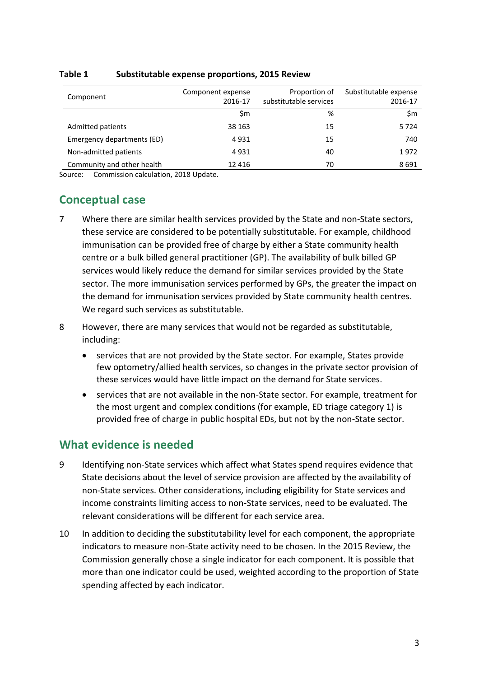| Component                  | Component expense<br>2016-17 | Proportion of<br>substitutable services | Substitutable expense<br>2016-17 |
|----------------------------|------------------------------|-----------------------------------------|----------------------------------|
|                            | Sm                           | %                                       | \$m                              |
| Admitted patients          | 38 163                       | 15                                      | 5724                             |
| Emergency departments (ED) | 4931                         | 15                                      | 740                              |
| Non-admitted patients      | 4931                         | 40                                      | 1972                             |
| Community and other health | 12 4 16                      | 70                                      | 8691                             |

#### <span id="page-4-2"></span>**Table 1 Substitutable expense proportions, 2015 Review**

<span id="page-4-0"></span>Source: Commission calculation, 2018 Update.

## **Conceptual case**

- 7 Where there are similar health services provided by the State and non-State sectors, these service are considered to be potentially substitutable. For example, childhood immunisation can be provided free of charge by either a State community health centre or a bulk billed general practitioner (GP). The availability of bulk billed GP services would likely reduce the demand for similar services provided by the State sector. The more immunisation services performed by GPs, the greater the impact on the demand for immunisation services provided by State community health centres. We regard such services as substitutable.
- 8 However, there are many services that would not be regarded as substitutable, including:
	- services that are not provided by the State sector. For example, States provide few optometry/allied health services, so changes in the private sector provision of these services would have little impact on the demand for State services.
	- services that are not available in the non-State sector. For example, treatment for the most urgent and complex conditions (for example, ED triage category 1) is provided free of charge in public hospital EDs, but not by the non-State sector.

## <span id="page-4-1"></span>**What evidence is needed**

- 9 Identifying non-State services which affect what States spend requires evidence that State decisions about the level of service provision are affected by the availability of non-State services. Other considerations, including eligibility for State services and income constraints limiting access to non-State services, need to be evaluated. The relevant considerations will be different for each service area.
- 10 In addition to deciding the substitutability level for each component, the appropriate indicators to measure non-State activity need to be chosen. In the 2015 Review, the Commission generally chose a single indicator for each component. It is possible that more than one indicator could be used, weighted according to the proportion of State spending affected by each indicator.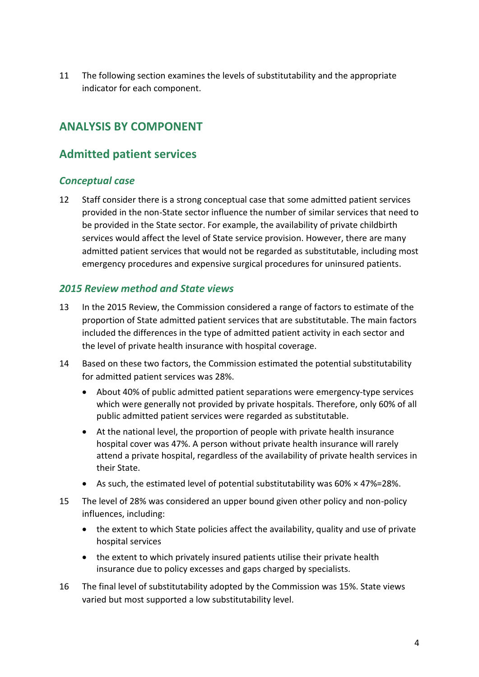11 The following section examines the levels of substitutability and the appropriate indicator for each component.

## <span id="page-5-0"></span>**ANALYSIS BY COMPONENT**

## <span id="page-5-1"></span>**Admitted patient services**

#### *Conceptual case*

12 Staff consider there is a strong conceptual case that some admitted patient services provided in the non-State sector influence the number of similar services that need to be provided in the State sector. For example, the availability of private childbirth services would affect the level of State service provision. However, there are many admitted patient services that would not be regarded as substitutable, including most emergency procedures and expensive surgical procedures for uninsured patients.

#### *2015 Review method and State views*

- 13 In the 2015 Review, the Commission considered a range of factors to estimate of the proportion of State admitted patient services that are substitutable. The main factors included the differences in the type of admitted patient activity in each sector and the level of private health insurance with hospital coverage.
- 14 Based on these two factors, the Commission estimated the potential substitutability for admitted patient services was 28%.
	- About 40% of public admitted patient separations were emergency-type services which were generally not provided by private hospitals. Therefore, only 60% of all public admitted patient services were regarded as substitutable.
	- At the national level, the proportion of people with private health insurance hospital cover was 47%. A person without private health insurance will rarely attend a private hospital, regardless of the availability of private health services in their State.
	- As such, the estimated level of potential substitutability was 60% × 47%=28%.
- 15 The level of 28% was considered an upper bound given other policy and non-policy influences, including:
	- the extent to which State policies affect the availability, quality and use of private hospital services
	- the extent to which privately insured patients utilise their private health insurance due to policy excesses and gaps charged by specialists.
- 16 The final level of substitutability adopted by the Commission was 15%. State views varied but most supported a low substitutability level.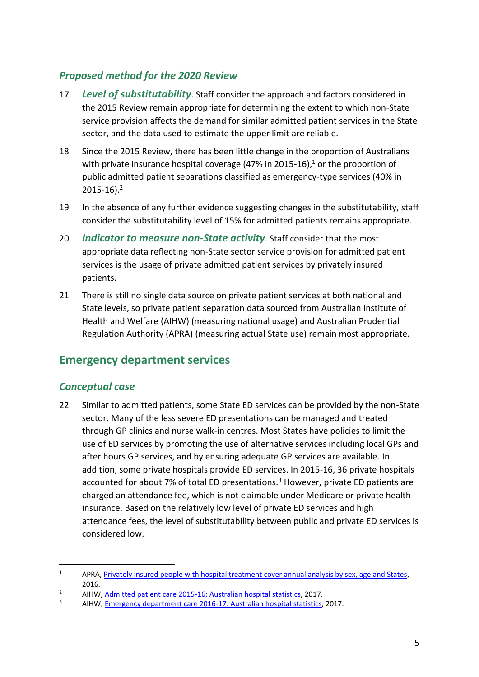#### *Proposed method for the 2020 Review*

- 17 *Level of substitutability*. Staff consider the approach and factors considered in the 2015 Review remain appropriate for determining the extent to which non-State service provision affects the demand for similar admitted patient services in the State sector, and the data used to estimate the upper limit are reliable.
- 18 Since the 2015 Review, there has been little change in the proportion of Australians with private insurance hospital coverage  $(47%$  in 2015-16),<sup>1</sup> or the proportion of public admitted patient separations classified as emergency-type services (40% in  $2015 - 16$ )<sup>2</sup>
- 19 In the absence of any further evidence suggesting changes in the substitutability, staff consider the substitutability level of 15% for admitted patients remains appropriate.
- 20 *Indicator to measure non-State activity*. Staff consider that the most appropriate data reflecting non-State sector service provision for admitted patient services is the usage of private admitted patient services by privately insured patients.
- 21 There is still no single data source on private patient services at both national and State levels, so private patient separation data sourced from Australian Institute of Health and Welfare (AIHW) (measuring national usage) and Australian Prudential Regulation Authority (APRA) (measuring actual State use) remain most appropriate.

## <span id="page-6-0"></span>**Emergency department services**

#### *Conceptual case*

 $\overline{a}$ 

22 Similar to admitted patients, some State ED services can be provided by the non-State sector. Many of the less severe ED presentations can be managed and treated through GP clinics and nurse walk-in centres. Most States have policies to limit the use of ED services by promoting the use of alternative services including local GPs and after hours GP services, and by ensuring adequate GP services are available. In addition, some private hospitals provide ED services. In 2015-16, 36 private hospitals accounted for about 7% of total ED presentations. $3$  However, private ED patients are charged an attendance fee, which is not claimable under Medicare or private health insurance. Based on the relatively low level of private ED services and high attendance fees, the level of substitutability between public and private ED services is considered low.

<sup>&</sup>lt;sup>1</sup> APRA, Privately insured people with hospital treatment cover annual analysis by sex, age and States, 2016.

<sup>&</sup>lt;sup>2</sup> AIHW, <u>Admitted patient care 2015-16: Australian hospital statistics</u>, 2017.

<sup>3</sup> AIHW, [Emergency department care 2016-17: Australian hospital statistics,](https://www.aihw.gov.au/reports/hospitals/emergency-department-care-ahs-2016-17/contents/table-of-contents) 2017.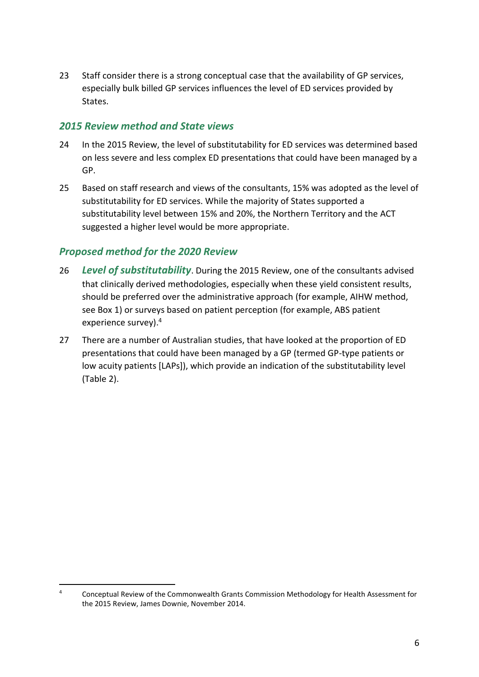23 Staff consider there is a strong conceptual case that the availability of GP services, especially bulk billed GP services influences the level of ED services provided by States.

#### *2015 Review method and State views*

- 24 In the 2015 Review, the level of substitutability for ED services was determined based on less severe and less complex ED presentations that could have been managed by a GP.
- 25 Based on staff research and views of the consultants, 15% was adopted as the level of substitutability for ED services. While the majority of States supported a substitutability level between 15% and 20%, the Northern Territory and the ACT suggested a higher level would be more appropriate.

#### *Proposed method for the 2020 Review*

- 26 *Level of substitutability*. During the 2015 Review, one of the consultants advised that clinically derived methodologies, especially when these yield consistent results, should be preferred over the administrative approach (for example, AIHW method, see Box 1) or surveys based on patient perception (for example, ABS patient experience survey). 4
- 27 There are a number of Australian studies, that have looked at the proportion of ED presentations that could have been managed by a GP (termed GP-type patients or low acuity patients [LAPs]), which provide an indication of the substitutability level [\(Table 2\)](#page-8-0).

 $4$  Conceptual Review of the Commonwealth Grants Commission Methodology for Health Assessment for the 2015 Review, James Downie, November 2014.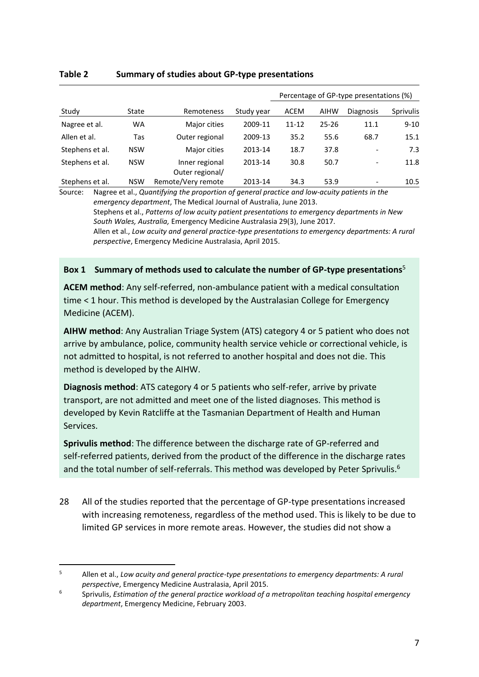|                 |            |                                   |            | Percentage of GP-type presentations (%) |             |                          |           |
|-----------------|------------|-----------------------------------|------------|-----------------------------------------|-------------|--------------------------|-----------|
| Study           | State      | Remoteness                        | Study year | <b>ACEM</b>                             | <b>AIHW</b> | <b>Diagnosis</b>         | Sprivulis |
| Nagree et al.   | <b>WA</b>  | Major cities                      | 2009-11    | 11-12                                   | $25 - 26$   | 11.1                     | $9 - 10$  |
| Allen et al.    | Tas        | Outer regional                    | 2009-13    | 35.2                                    | 55.6        | 68.7                     | 15.1      |
| Stephens et al. | <b>NSW</b> | Major cities                      | 2013-14    | 18.7                                    | 37.8        | $\overline{\phantom{a}}$ | 7.3       |
| Stephens et al. | <b>NSW</b> | Inner regional<br>Outer regional/ | 2013-14    | 30.8                                    | 50.7        | $\overline{\phantom{a}}$ | 11.8      |
| Stephens et al. | <b>NSW</b> | Remote/Very remote                | 2013-14    | 34.3                                    | 53.9        | $\overline{\phantom{a}}$ | 10.5      |

#### <span id="page-8-0"></span>**Table 2 Summary of studies about GP-type presentations**

Source: Nagree et al., *Quantifying the proportion of general practice and low-acuity patients in the emergency department*, The Medical Journal of Australia, June 2013. Stephens et al., *Patterns of low acuity patient presentations to emergency departments in New South Wales, Australia,* Emergency Medicine Australasia 29(3), June 2017. Allen et al., *Low acuity and general practice-type presentations to emergency departments: A rural perspective*, Emergency Medicine Australasia, April 2015.

#### **Box 1 Summary of methods used to calculate the number of GP-type presentations**<sup>5</sup>

**ACEM method**: Any self-referred, non-ambulance patient with a medical consultation time < 1 hour. This method is developed by the Australasian College for Emergency Medicine (ACEM).

**AIHW method**: Any Australian Triage System (ATS) category 4 or 5 patient who does not arrive by ambulance, police, community health service vehicle or correctional vehicle, is not admitted to hospital, is not referred to another hospital and does not die. This method is developed by the AIHW.

**Diagnosis method**: ATS category 4 or 5 patients who self-refer, arrive by private transport, are not admitted and meet one of the listed diagnoses. This method is developed by Kevin Ratcliffe at the Tasmanian Department of Health and Human Services.

**Sprivulis method**: The difference between the discharge rate of GP-referred and self-referred patients, derived from the product of the difference in the discharge rates and the total number of self-referrals. This method was developed by Peter Sprivulis.<sup>6</sup>

28 All of the studies reported that the percentage of GP-type presentations increased with increasing remoteness, regardless of the method used. This is likely to be due to limited GP services in more remote areas. However, the studies did not show a

<sup>5</sup> Allen et al., *Low acuity and general practice-type presentations to emergency departments: A rural perspective*, Emergency Medicine Australasia, April 2015.

<sup>6</sup> Sprivulis, *Estimation of the general practice workload of a metropolitan teaching hospital emergency department*, Emergency Medicine, February 2003.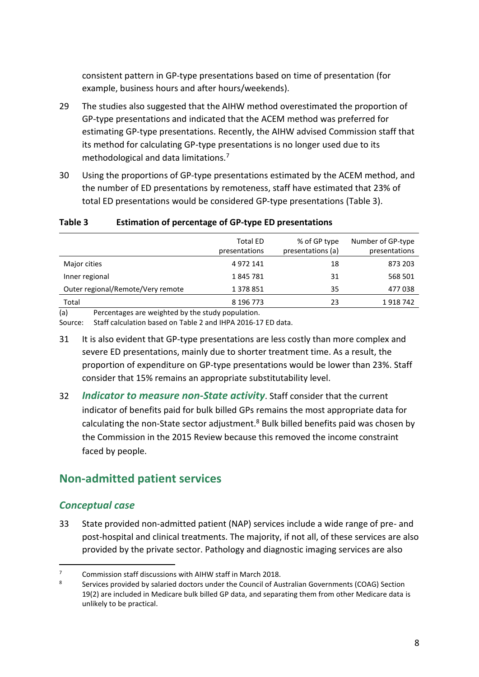consistent pattern in GP-type presentations based on time of presentation (for example, business hours and after hours/weekends).

- 29 The studies also suggested that the AIHW method overestimated the proportion of GP-type presentations and indicated that the ACEM method was preferred for estimating GP-type presentations. Recently, the AIHW advised Commission staff that its method for calculating GP-type presentations is no longer used due to its methodological and data limitations.<sup>7</sup>
- 30 Using the proportions of GP-type presentations estimated by the ACEM method, and the number of ED presentations by remoteness, staff have estimated that 23% of total ED presentations would be considered GP-type presentations [\(Table 3\)](#page-9-1).

<span id="page-9-1"></span>

| Table 3 | Estimation of percentage of GP-type ED presentations |              |     |
|---------|------------------------------------------------------|--------------|-----|
|         | <b>Total ED</b>                                      | % of GP type | Num |

|                                   | <b>Total ED</b> | % of GP type      | Number of GP-type |
|-----------------------------------|-----------------|-------------------|-------------------|
|                                   | presentations   | presentations (a) | presentations     |
| Major cities                      | 4 972 141       | 18                | 873 203           |
| Inner regional                    | 1845781         | 31                | 568 501           |
| Outer regional/Remote/Very remote | 1 378 851       | 35                | 477038            |
| Total                             | 8 196 773       | 23                | 1918742           |

(a) Percentages are weighted by the study population.

Source: Staff calculation based on [Table 2](#page-8-0) and IHPA 2016-17 ED data.

- 31 It is also evident that GP-type presentations are less costly than more complex and severe ED presentations, mainly due to shorter treatment time. As a result, the proportion of expenditure on GP-type presentations would be lower than 23%. Staff consider that 15% remains an appropriate substitutability level.
- 32 *Indicator to measure non-State activity*. Staff consider that the current indicator of benefits paid for bulk billed GPs remains the most appropriate data for calculating the non-State sector adjustment.<sup>8</sup> Bulk billed benefits paid was chosen by the Commission in the 2015 Review because this removed the income constraint faced by people.

## <span id="page-9-0"></span>**Non-admitted patient services**

#### *Conceptual case*

33 State provided non-admitted patient (NAP) services include a wide range of pre- and post-hospital and clinical treatments. The majority, if not all, of these services are also provided by the private sector. Pathology and diagnostic imaging services are also

 $\overline{a}$  $7$  Commission staff discussions with AIHW staff in March 2018.

<sup>8</sup> Services provided by salaried doctors under the Council of Australian Governments (COAG) Section 19(2) are included in Medicare bulk billed GP data, and separating them from other Medicare data is unlikely to be practical.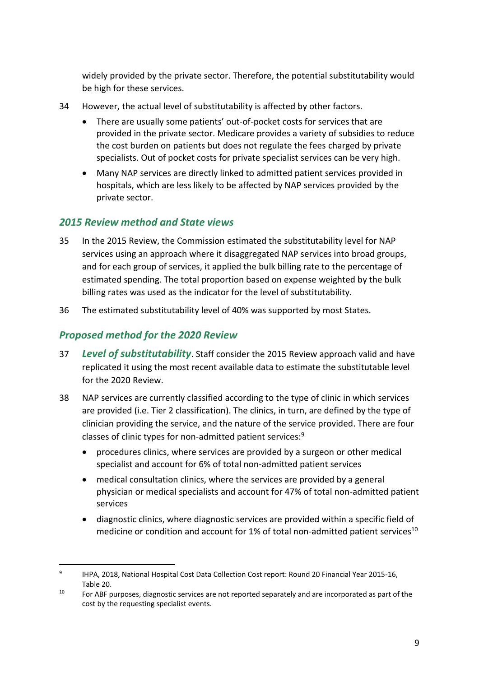widely provided by the private sector. Therefore, the potential substitutability would be high for these services.

- 34 However, the actual level of substitutability is affected by other factors.
	- There are usually some patients' out-of-pocket costs for services that are provided in the private sector. Medicare provides a variety of subsidies to reduce the cost burden on patients but does not regulate the fees charged by private specialists. Out of pocket costs for private specialist services can be very high.
	- Many NAP services are directly linked to admitted patient services provided in hospitals, which are less likely to be affected by NAP services provided by the private sector.

#### *2015 Review method and State views*

- 35 In the 2015 Review, the Commission estimated the substitutability level for NAP services using an approach where it disaggregated NAP services into broad groups, and for each group of services, it applied the bulk billing rate to the percentage of estimated spending. The total proportion based on expense weighted by the bulk billing rates was used as the indicator for the level of substitutability.
- 36 The estimated substitutability level of 40% was supported by most States.

## *Proposed method for the 2020 Review*

- 37 *Level of substitutability*. Staff consider the 2015 Review approach valid and have replicated it using the most recent available data to estimate the substitutable level for the 2020 Review.
- 38 NAP services are currently classified according to the type of clinic in which services are provided (i.e. Tier 2 classification). The clinics, in turn, are defined by the type of clinician providing the service, and the nature of the service provided. There are four classes of clinic types for non-admitted patient services:<sup>9</sup>
	- procedures clinics, where services are provided by a surgeon or other medical specialist and account for 6% of total non-admitted patient services
	- medical consultation clinics, where the services are provided by a general physician or medical specialists and account for 47% of total non-admitted patient services
	- diagnostic clinics, where diagnostic services are provided within a specific field of medicine or condition and account for 1% of total non-admitted patient services<sup>10</sup>

<sup>9</sup> IHPA, 2018, National Hospital Cost Data Collection Cost report: Round 20 Financial Year 2015-16, Table 20.

 $10$  For ABF purposes, diagnostic services are not reported separately and are incorporated as part of the cost by the requesting specialist events.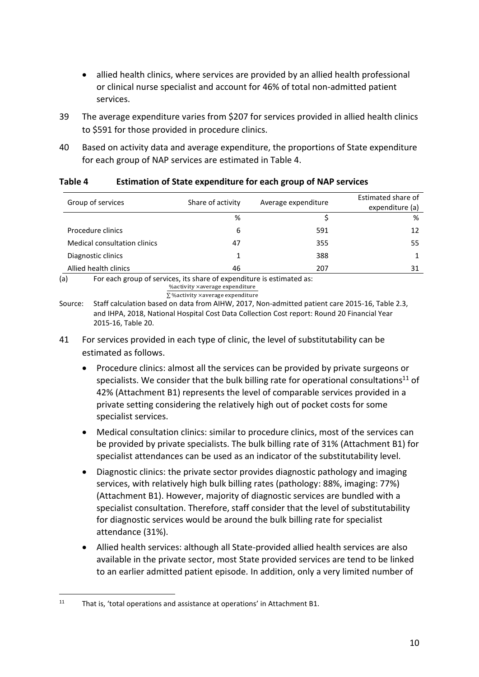- allied health clinics, where services are provided by an allied health professional or clinical nurse specialist and account for 46% of total non-admitted patient services.
- 39 The average expenditure varies from \$207 for services provided in allied health clinics to \$591 for those provided in procedure clinics.
- 40 Based on activity data and average expenditure, the proportions of State expenditure for each group of NAP services are estimated in [Table 4.](#page-11-0)

| Group of services                                                                                               | Share of activity | Average expenditure | Estimated share of |  |
|-----------------------------------------------------------------------------------------------------------------|-------------------|---------------------|--------------------|--|
|                                                                                                                 |                   |                     | expenditure (a)    |  |
|                                                                                                                 | %                 |                     | %                  |  |
| Procedure clinics                                                                                               | 6                 | 591                 | 12                 |  |
| <b>Medical consultation clinics</b>                                                                             | 47                | 355                 | 55                 |  |
| Diagnostic clinics                                                                                              |                   | 388                 |                    |  |
| Allied health clinics                                                                                           | 46                | 207                 | 31                 |  |
| (a)<br>For each group of services, its share of expenditure is estimated as:<br>% activity xaverage expenditure |                   |                     |                    |  |

#### <span id="page-11-0"></span>**Table 4 Estimation of State expenditure for each group of NAP services**

∑ %activity ×average expenditure Source: Staff calculation based on data from AIHW, 2017, Non-admitted patient care 2015-16, Table 2.3, and IHPA, 2018, National Hospital Cost Data Collection Cost report: Round 20 Financial Year 2015-16, Table 20.

- <span id="page-11-1"></span>41 For services provided in each type of clinic, the level of substitutability can be estimated as follows.
	- Procedure clinics: almost all the services can be provided by private surgeons or specialists. We consider that the bulk billing rate for operational consultations<sup>11</sup> of 42% (Attachment B1) represents the level of comparable services provided in a private setting considering the relatively high out of pocket costs for some specialist services.
	- Medical consultation clinics: similar to procedure clinics, most of the services can be provided by private specialists. The bulk billing rate of 31% (Attachment B1) for specialist attendances can be used as an indicator of the substitutability level.
	- Diagnostic clinics: the private sector provides diagnostic pathology and imaging services, with relatively high bulk billing rates (pathology: 88%, imaging: 77%) (Attachment B1). However, majority of diagnostic services are bundled with a specialist consultation. Therefore, staff consider that the level of substitutability for diagnostic services would be around the bulk billing rate for specialist attendance (31%).
	- Allied health services: although all State-provided allied health services are also available in the private sector, most State provided services are tend to be linked to an earlier admitted patient episode. In addition, only a very limited number of

<sup>&</sup>lt;sup>11</sup> That is, 'total operations and assistance at operations' in Attachment B1.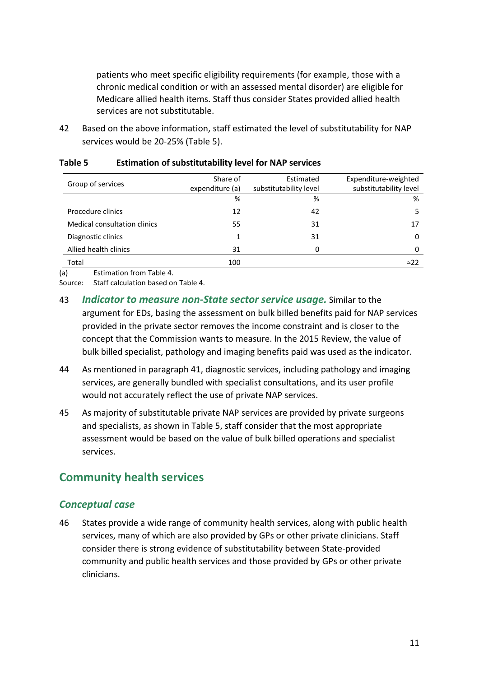patients who meet specific eligibility requirements (for example, those with a chronic medical condition or with an assessed mental disorder) are eligible for Medicare allied health items. Staff thus consider States provided allied health services are not substitutable.

42 Based on the above information, staff estimated the level of substitutability for NAP services would be 20-25% [\(Table 5\)](#page-12-1).

| Group of services            | Share of        | Estimated              | Expenditure-weighted   |
|------------------------------|-----------------|------------------------|------------------------|
|                              | expenditure (a) | substitutability level | substitutability level |
|                              | %               | %                      | %                      |
| Procedure clinics            | 12              | 42                     | 5                      |
| Medical consultation clinics | 55              | 31                     | 17                     |
| Diagnostic clinics           |                 | 31                     | 0                      |
| Allied health clinics        | 31              | 0                      | $\Omega$               |
| Total                        | 100             |                        | $\approx$ 22           |

#### <span id="page-12-1"></span>**Table 5 Estimation of substitutability level for NAP services**

(a) Estimation from [Table 4.](#page-11-0)

Source: Staff calculation based on [Table 4.](#page-11-0)

- 43 *Indicator to measure non-State sector service usage.* Similar to the argument for EDs, basing the assessment on bulk billed benefits paid for NAP services provided in the private sector removes the income constraint and is closer to the concept that the Commission wants to measure. In the 2015 Review, the value of bulk billed specialist, pathology and imaging benefits paid was used as the indicator.
- 44 As mentioned in paragraph [41,](#page-11-1) diagnostic services, including pathology and imaging services, are generally bundled with specialist consultations, and its user profile would not accurately reflect the use of private NAP services.
- 45 As majority of substitutable private NAP services are provided by private surgeons and specialists, as shown in [Table 5,](#page-12-1) staff consider that the most appropriate assessment would be based on the value of bulk billed operations and specialist services.

## <span id="page-12-0"></span>**Community health services**

#### *Conceptual case*

46 States provide a wide range of community health services, along with public health services, many of which are also provided by GPs or other private clinicians. Staff consider there is strong evidence of substitutability between State-provided community and public health services and those provided by GPs or other private clinicians.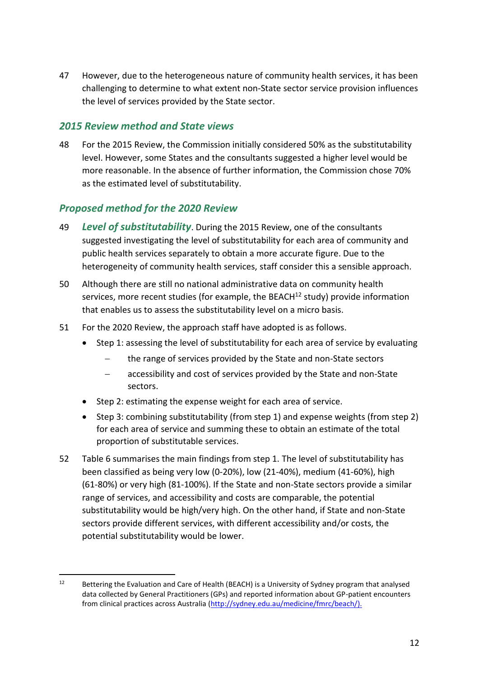47 However, due to the heterogeneous nature of community health services, it has been challenging to determine to what extent non-State sector service provision influences the level of services provided by the State sector.

#### *2015 Review method and State views*

48 For the 2015 Review, the Commission initially considered 50% as the substitutability level. However, some States and the consultants suggested a higher level would be more reasonable. In the absence of further information, the Commission chose 70% as the estimated level of substitutability.

#### *Proposed method for the 2020 Review*

- 49 *Level of substitutability*. During the 2015 Review, one of the consultants suggested investigating the level of substitutability for each area of community and public health services separately to obtain a more accurate figure. Due to the heterogeneity of community health services, staff consider this a sensible approach.
- 50 Although there are still no national administrative data on community health services, more recent studies (for example, the BEACH<sup>12</sup> study) provide information that enables us to assess the substitutability level on a micro basis.
- 51 For the 2020 Review, the approach staff have adopted is as follows.
	- Step 1: assessing the level of substitutability for each area of service by evaluating
		- the range of services provided by the State and non-State sectors
		- accessibility and cost of services provided by the State and non-State sectors.
	- Step 2: estimating the expense weight for each area of service.
	- Step 3: combining substitutability (from step 1) and expense weights (from step 2) for each area of service and summing these to obtain an estimate of the total proportion of substitutable services.
- 52 [Table 6](#page-15-0) summarises the main findings from step 1. The level of substitutability has been classified as being very low (0-20%), low (21-40%), medium (41-60%), high (61-80%) or very high (81-100%). If the State and non-State sectors provide a similar range of services, and accessibility and costs are comparable, the potential substitutability would be high/very high. On the other hand, if State and non-State sectors provide different services, with different accessibility and/or costs, the potential substitutability would be lower.

<sup>&</sup>lt;sup>12</sup> Bettering the Evaluation and Care of Health (BEACH) is a University of Sydney program that analysed data collected by General Practitioners (GPs) and reported information about GP-patient encounters from clinical practices across Australia (http://sydney.edu.au/medicine/fmrc/beach/).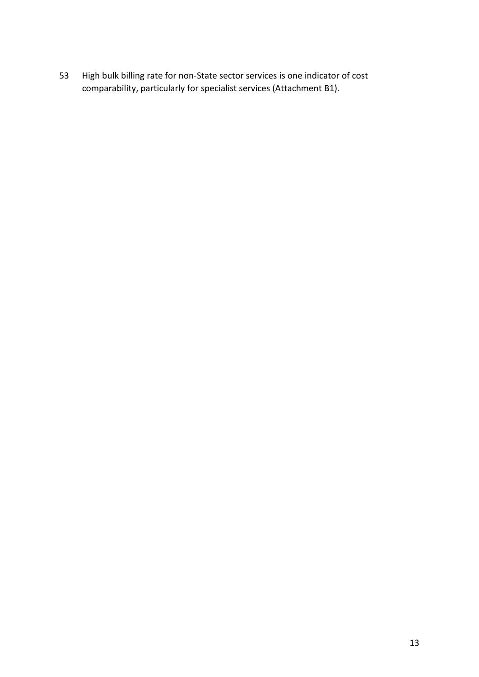High bulk billing rate for non-State sector services is one indicator of cost comparability, particularly for specialist services [\(Attachment B1\)](#page-21-1).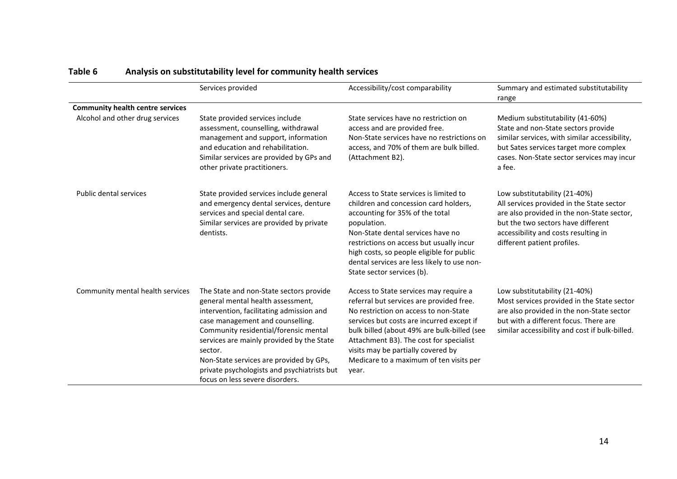<span id="page-15-0"></span>

|                                         | Services provided                                                                                                                                                                                                                                                                                                                                                                          | Accessibility/cost comparability                                                                                                                                                                                                                                                                                                                             | Summary and estimated substitutability<br>range                                                                                                                                                                                       |
|-----------------------------------------|--------------------------------------------------------------------------------------------------------------------------------------------------------------------------------------------------------------------------------------------------------------------------------------------------------------------------------------------------------------------------------------------|--------------------------------------------------------------------------------------------------------------------------------------------------------------------------------------------------------------------------------------------------------------------------------------------------------------------------------------------------------------|---------------------------------------------------------------------------------------------------------------------------------------------------------------------------------------------------------------------------------------|
| <b>Community health centre services</b> |                                                                                                                                                                                                                                                                                                                                                                                            |                                                                                                                                                                                                                                                                                                                                                              |                                                                                                                                                                                                                                       |
| Alcohol and other drug services         | State provided services include<br>assessment, counselling, withdrawal<br>management and support, information<br>and education and rehabilitation.<br>Similar services are provided by GPs and<br>other private practitioners.                                                                                                                                                             | State services have no restriction on<br>access and are provided free.<br>Non-State services have no restrictions on<br>access, and 70% of them are bulk billed.<br>(Attachment B2).                                                                                                                                                                         | Medium substitutability (41-60%)<br>State and non-State sectors provide<br>similar services, with similar accessibility,<br>but Sates services target more complex<br>cases. Non-State sector services may incur<br>a fee.            |
| <b>Public dental services</b>           | State provided services include general<br>and emergency dental services, denture<br>services and special dental care.<br>Similar services are provided by private<br>dentists.                                                                                                                                                                                                            | Access to State services is limited to<br>children and concession card holders,<br>accounting for 35% of the total<br>population.<br>Non-State dental services have no<br>restrictions on access but usually incur<br>high costs, so people eligible for public<br>dental services are less likely to use non-<br>State sector services (b).                 | Low substitutability (21-40%)<br>All services provided in the State sector<br>are also provided in the non-State sector,<br>but the two sectors have different<br>accessibility and costs resulting in<br>different patient profiles. |
| Community mental health services        | The State and non-State sectors provide<br>general mental health assessment,<br>intervention, facilitating admission and<br>case management and counselling.<br>Community residential/forensic mental<br>services are mainly provided by the State<br>sector.<br>Non-State services are provided by GPs,<br>private psychologists and psychiatrists but<br>focus on less severe disorders. | Access to State services may require a<br>referral but services are provided free.<br>No restriction on access to non-State<br>services but costs are incurred except if<br>bulk billed (about 49% are bulk-billed (see<br>Attachment B3). The cost for specialist<br>visits may be partially covered by<br>Medicare to a maximum of ten visits per<br>year. | Low substitutability (21-40%)<br>Most services provided in the State sector<br>are also provided in the non-State sector<br>but with a different focus. There are<br>similar accessibility and cost if bulk-billed.                   |

# **Table 6 Analysis on substitutability level for community health services**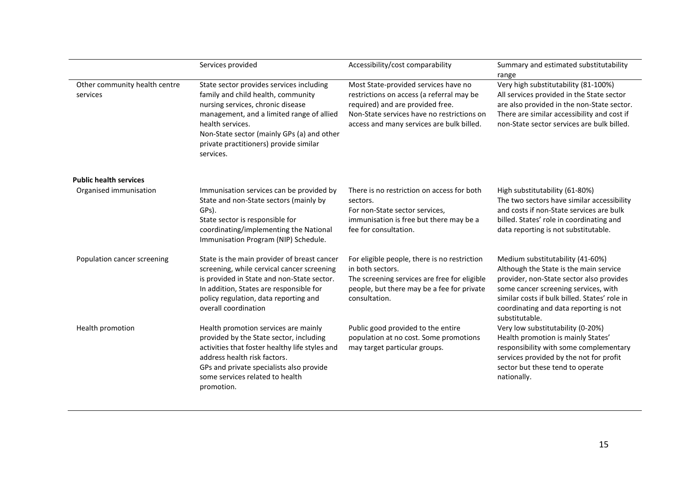|                                           | Services provided                                                                                                                                                                                                                                                                         | Accessibility/cost comparability                                                                                                                                                                                 | Summary and estimated substitutability<br>range                                                                                                                                                                                                                             |
|-------------------------------------------|-------------------------------------------------------------------------------------------------------------------------------------------------------------------------------------------------------------------------------------------------------------------------------------------|------------------------------------------------------------------------------------------------------------------------------------------------------------------------------------------------------------------|-----------------------------------------------------------------------------------------------------------------------------------------------------------------------------------------------------------------------------------------------------------------------------|
| Other community health centre<br>services | State sector provides services including<br>family and child health, community<br>nursing services, chronic disease<br>management, and a limited range of allied<br>health services.<br>Non-State sector (mainly GPs (a) and other<br>private practitioners) provide similar<br>services. | Most State-provided services have no<br>restrictions on access (a referral may be<br>required) and are provided free.<br>Non-State services have no restrictions on<br>access and many services are bulk billed. | Very high substitutability (81-100%)<br>All services provided in the State sector<br>are also provided in the non-State sector.<br>There are similar accessibility and cost if<br>non-State sector services are bulk billed.                                                |
| <b>Public health services</b>             |                                                                                                                                                                                                                                                                                           |                                                                                                                                                                                                                  |                                                                                                                                                                                                                                                                             |
| Organised immunisation                    | Immunisation services can be provided by<br>State and non-State sectors (mainly by<br>GPs).<br>State sector is responsible for<br>coordinating/implementing the National<br>Immunisation Program (NIP) Schedule.                                                                          | There is no restriction on access for both<br>sectors.<br>For non-State sector services,<br>immunisation is free but there may be a<br>fee for consultation.                                                     | High substitutability (61-80%)<br>The two sectors have similar accessibility<br>and costs if non-State services are bulk<br>billed. States' role in coordinating and<br>data reporting is not substitutable.                                                                |
| Population cancer screening               | State is the main provider of breast cancer<br>screening, while cervical cancer screening<br>is provided in State and non-State sector.<br>In addition, States are responsible for<br>policy regulation, data reporting and<br>overall coordination                                       | For eligible people, there is no restriction<br>in both sectors.<br>The screening services are free for eligible<br>people, but there may be a fee for private<br>consultation.                                  | Medium substitutability (41-60%)<br>Although the State is the main service<br>provider, non-State sector also provides<br>some cancer screening services, with<br>similar costs if bulk billed. States' role in<br>coordinating and data reporting is not<br>substitutable. |
| Health promotion                          | Health promotion services are mainly<br>provided by the State sector, including<br>activities that foster healthy life styles and<br>address health risk factors.<br>GPs and private specialists also provide<br>some services related to health<br>promotion.                            | Public good provided to the entire<br>population at no cost. Some promotions<br>may target particular groups.                                                                                                    | Very low substitutability (0-20%)<br>Health promotion is mainly States'<br>responsibility with some complementary<br>services provided by the not for profit<br>sector but these tend to operate<br>nationally.                                                             |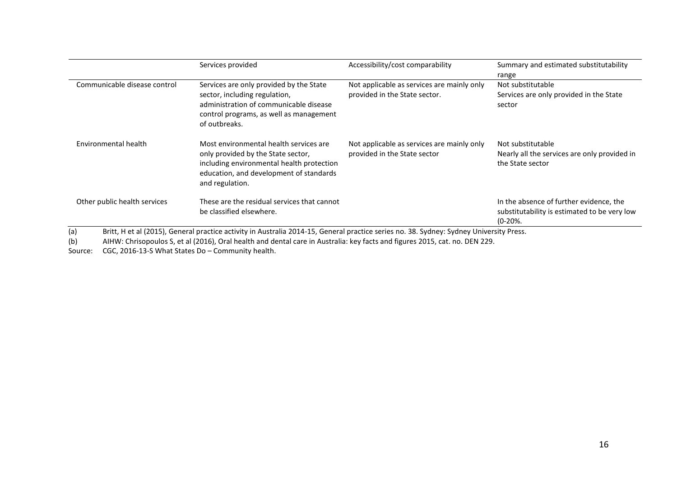|                              | Services provided                                                                                                                                                                       | Accessibility/cost comparability                                            | Summary and estimated substitutability<br>range                                                     |
|------------------------------|-----------------------------------------------------------------------------------------------------------------------------------------------------------------------------------------|-----------------------------------------------------------------------------|-----------------------------------------------------------------------------------------------------|
| Communicable disease control | Services are only provided by the State<br>sector, including regulation,<br>administration of communicable disease<br>control programs, as well as management<br>of outbreaks.          | Not applicable as services are mainly only<br>provided in the State sector. | Not substitutable<br>Services are only provided in the State<br>sector                              |
| Environmental health         | Most environmental health services are<br>only provided by the State sector,<br>including environmental health protection<br>education, and development of standards<br>and regulation. | Not applicable as services are mainly only<br>provided in the State sector  | Not substitutable<br>Nearly all the services are only provided in<br>the State sector               |
| Other public health services | These are the residual services that cannot<br>be classified elsewhere.                                                                                                                 |                                                                             | In the absence of further evidence, the<br>substitutability is estimated to be very low<br>$(0-20%$ |

(b) AIHW: Chrisopoulos S, et al (2016), Oral health and dental care in Australia: key facts and figures 2015, cat. no. DEN 229.

Source: CGC, 2016-13-S What States Do – Community health.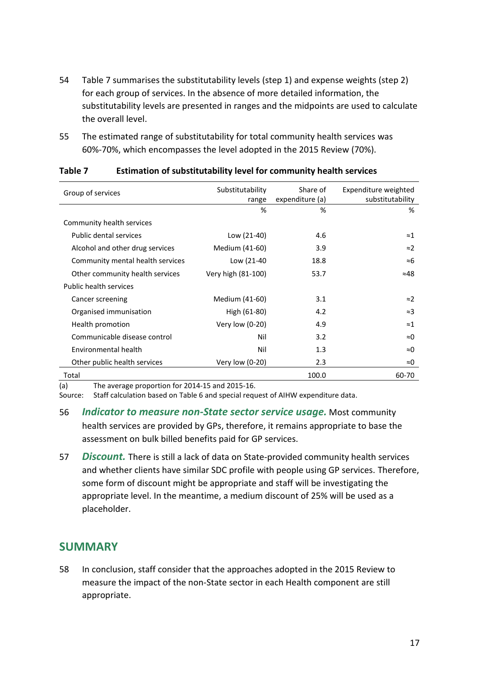- 54 [Table 7](#page-18-1) summarises the substitutability levels (step 1) and expense weights (step 2) for each group of services. In the absence of more detailed information, the substitutability levels are presented in ranges and the midpoints are used to calculate the overall level.
- 55 The estimated range of substitutability for total community health services was 60%-70%, which encompasses the level adopted in the 2015 Review (70%).

| Group of services                | Substitutability<br>range | Share of<br>expenditure (a) | Expenditure weighted<br>substitutability |
|----------------------------------|---------------------------|-----------------------------|------------------------------------------|
|                                  | %                         | %                           | %                                        |
| Community health services        |                           |                             |                                          |
| Public dental services           | Low (21-40)               | 4.6                         | ≈1                                       |
| Alcohol and other drug services  | Medium (41-60)            | 3.9                         | $\approx$                                |
| Community mental health services | Low (21-40                | 18.8                        | ≈6                                       |
| Other community health services  | Very high (81-100)        | 53.7                        | ≈48                                      |
| Public health services           |                           |                             |                                          |
| Cancer screening                 | Medium (41-60)            | 3.1                         | $\approx$ 2                              |
| Organised immunisation           | High (61-80)              | 4.2                         | $\approx$ 3                              |
| Health promotion                 | Very low (0-20)           | 4.9                         | $\approx$ 1                              |
| Communicable disease control     | Nil                       | 3.2                         | ≈0                                       |
| Environmental health             | Nil                       | 1.3                         | ≈0                                       |
| Other public health services     | Very low (0-20)           | 2.3                         | ≈0                                       |
| Total                            |                           | 100.0                       | 60-70                                    |

#### <span id="page-18-1"></span>**Table 7 Estimation of substitutability level for community health services**

(a) The average proportion for 2014-15 and 2015-16.

Source: Staff calculation based on [Table 6](#page-15-0) and special request of AIHW expenditure data.

- 56 *Indicator to measure non-State sector service usage.* Most community health services are provided by GPs, therefore, it remains appropriate to base the assessment on bulk billed benefits paid for GP services.
- 57 *Discount.* There is still a lack of data on State-provided community health services and whether clients have similar SDC profile with people using GP services. Therefore, some form of discount might be appropriate and staff will be investigating the appropriate level. In the meantime, a medium discount of 25% will be used as a placeholder.

## <span id="page-18-0"></span>**SUMMARY**

58 In conclusion, staff consider that the approaches adopted in the 2015 Review to measure the impact of the non-State sector in each Health component are still appropriate.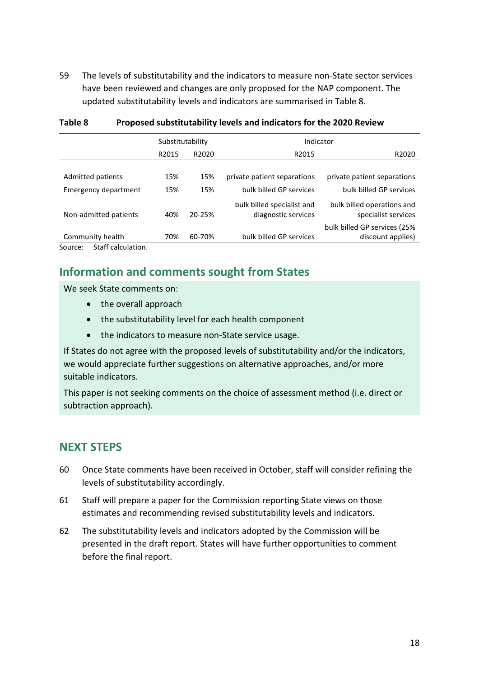59 The levels of substitutability and the indicators to measure non-State sector services have been reviewed and changes are only proposed for the NAP component. The updated substitutability levels and indicators are summarised in [Table 8.](#page-19-1)

|                               | Substitutability |        | Indicator                                         |                                                   |  |  |  |
|-------------------------------|------------------|--------|---------------------------------------------------|---------------------------------------------------|--|--|--|
|                               | R2015            | R2020  | R2015                                             | R2020                                             |  |  |  |
|                               |                  |        |                                                   |                                                   |  |  |  |
| Admitted patients             | 15%              | 15%    | private patient separations                       | private patient separations                       |  |  |  |
| <b>Emergency department</b>   | 15%              | 15%    | bulk billed GP services                           | bulk billed GP services                           |  |  |  |
| Non-admitted patients         | 40%              | 20-25% | bulk billed specialist and<br>diagnostic services | bulk billed operations and<br>specialist services |  |  |  |
|                               |                  |        |                                                   | bulk billed GP services (25%                      |  |  |  |
| Community health              | 70%              | 60-70% | bulk billed GP services                           | discount applies)                                 |  |  |  |
| Staff calculation.<br>Source: |                  |        |                                                   |                                                   |  |  |  |

#### <span id="page-19-1"></span>**Table 8 Proposed substitutability levels and indicators for the 2020 Review**

**Information and comments sought from States**

We seek State comments on:

- the overall approach
- the substitutability level for each health component
- the indicators to measure non-State service usage.

If States do not agree with the proposed levels of substitutability and/or the indicators, we would appreciate further suggestions on alternative approaches, and/or more suitable indicators.

<span id="page-19-0"></span>This paper is not seeking comments on the choice of assessment method (i.e. direct or subtraction approach).

#### **NEXT STEPS**

- 60 Once State comments have been received in October, staff will consider refining the levels of substitutability accordingly.
- 61 Staff will prepare a paper for the Commission reporting State views on those estimates and recommending revised substitutability levels and indicators.
- 62 The substitutability levels and indicators adopted by the Commission will be presented in the draft report. States will have further opportunities to comment before the final report.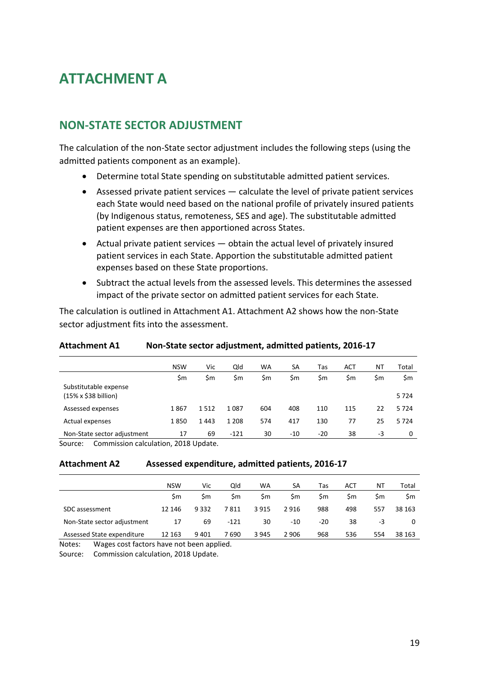# <span id="page-20-0"></span>**ATTACHMENT A**

### **NON-STATE SECTOR ADJUSTMENT**

The calculation of the non-State sector adjustment includes the following steps (using the admitted patients component as an example).

- Determine total State spending on substitutable admitted patient services.
- Assessed private patient services calculate the level of private patient services each State would need based on the national profile of privately insured patients (by Indigenous status, remoteness, SES and age). The substitutable admitted patient expenses are then apportioned across States.
- Actual private patient services obtain the actual level of privately insured patient services in each State. Apportion the substitutable admitted patient expenses based on these State proportions.
- Subtract the actual levels from the assessed levels. This determines the assessed impact of the private sector on admitted patient services for each State.

The calculation is outlined in Attachment A1. Attachment A2 shows how the non-State sector adjustment fits into the assessment.

|                                               | <b>NSW</b> | Vic  | Qld     | WA  | SА    | Tas   | АСТ | ΝT  | Total |
|-----------------------------------------------|------------|------|---------|-----|-------|-------|-----|-----|-------|
|                                               | \$m        | \$m  | \$m     | \$m | \$m   | \$m   | \$m | \$m | \$m   |
| Substitutable expense<br>(15% x \$38 billion) |            |      |         |     |       |       |     |     | 5724  |
| Assessed expenses                             | 1867       | 1512 | 1087    | 604 | 408   | 110   | 115 | 22  | 5724  |
| Actual expenses                               | 1850       | 1443 | 1 2 0 8 | 574 | 417   | 130   | 77  | 25  | 5724  |
| Non-State sector adjustment                   | 17         | 69   | $-121$  | 30  | $-10$ | $-20$ | 38  | -3  | 0     |

#### **Attachment A1 Non-State sector adjustment, admitted patients, 2016-17**

Source: Commission calculation, 2018 Update.

#### **Attachment A2 Assessed expenditure, admitted patients, 2016-17**

|                             | <b>NSW</b> | Vic  | Old    | <b>WA</b> | SA      | Tas | АСТ | ΝT  | Total     |
|-----------------------------|------------|------|--------|-----------|---------|-----|-----|-----|-----------|
|                             | Sm         | Sm   | Sm     | Sm        | Sm.     | Sm  | Sm  | Sm  | <b>Sm</b> |
| SDC assessment              | 12 14 6    | 9332 | 7811   | 3915      | 2916    | 988 | 498 | 557 | 38 163    |
| Non-State sector adjustment | 17         | 69   | $-121$ | 30        | -10     | -20 | 38  | -3  |           |
| Assessed State expenditure  | 12 163     | 9401 | 7 690  | 3 9 4 5   | 2 9 0 6 | 968 | 536 | 554 | 38 163    |

Notes: Wages cost factors have not been applied.

Source: Commission calculation, 2018 Update.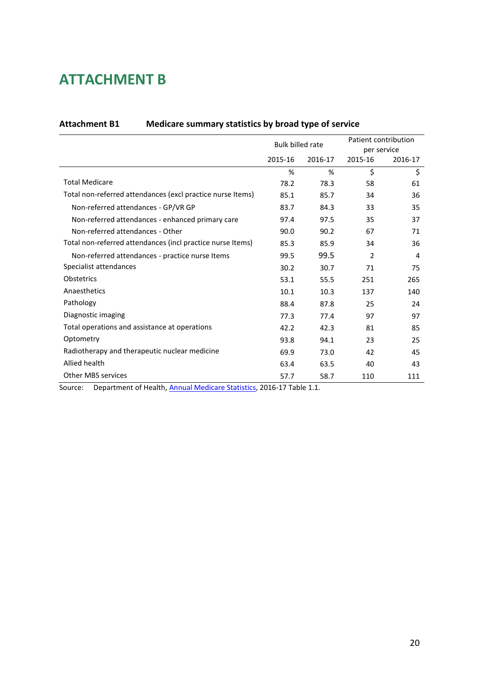# <span id="page-21-0"></span>**ATTACHMENT B**

|                                                            | <b>Bulk billed rate</b> |         | Patient contribution |         |  |
|------------------------------------------------------------|-------------------------|---------|----------------------|---------|--|
|                                                            |                         |         | per service          |         |  |
|                                                            | 2015-16                 | 2016-17 | 2015-16              | 2016-17 |  |
|                                                            | %                       | %       | \$                   | \$      |  |
| <b>Total Medicare</b>                                      | 78.2                    | 78.3    | 58                   | 61      |  |
| Total non-referred attendances (excl practice nurse Items) | 85.1                    | 85.7    | 34                   | 36      |  |
| Non-referred attendances - GP/VR GP                        | 83.7                    | 84.3    | 33                   | 35      |  |
| Non-referred attendances - enhanced primary care           | 97.4                    | 97.5    | 35                   | 37      |  |
| Non-referred attendances - Other                           | 90.0                    | 90.2    | 67                   | 71      |  |
| Total non-referred attendances (incl practice nurse Items) | 85.3                    | 85.9    | 34                   | 36      |  |
| Non-referred attendances - practice nurse Items            | 99.5                    | 99.5    | 2                    | 4       |  |
| Specialist attendances                                     | 30.2                    | 30.7    | 71                   | 75      |  |
| Obstetrics                                                 | 53.1                    | 55.5    | 251                  | 265     |  |
| Anaesthetics                                               | 10.1                    | 10.3    | 137                  | 140     |  |
| Pathology                                                  | 88.4                    | 87.8    | 25                   | 24      |  |
| Diagnostic imaging                                         | 77.3                    | 77.4    | 97                   | 97      |  |
| Total operations and assistance at operations              | 42.2                    | 42.3    | 81                   | 85      |  |
| Optometry                                                  | 93.8                    | 94.1    | 23                   | 25      |  |
| Radiotherapy and therapeutic nuclear medicine              | 69.9                    | 73.0    | 42                   | 45      |  |
| Allied health                                              | 63.4                    | 63.5    | 40                   | 43      |  |
| <b>Other MBS services</b>                                  | 57.7                    | 58.7    | 110                  | 111     |  |

#### <span id="page-21-1"></span>**Attachment B1 Medicare summary statistics by broad type of service**

Source: Department of Health, [Annual Medicare Statistics,](http://health.gov.au/internet/main/publishing.nsf/Content/Annual-Medicare-Statistics) 2016-17 Table 1.1.